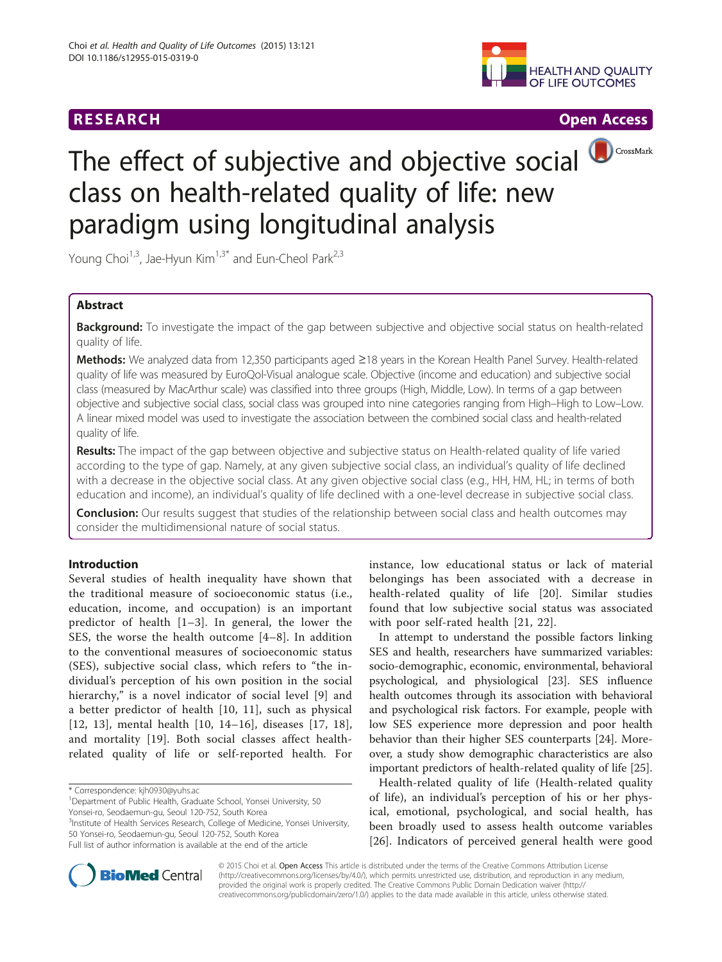







# The effect of subjective and objective social class on health-related quality of life: new paradigm using longitudinal analysis

Young Choi<sup>1,3</sup>, Jae-Hyun Kim<sup>1,3\*</sup> and Eun-Cheol Park<sup>2,3</sup>

# Abstract

Background: To investigate the impact of the gap between subjective and objective social status on health-related quality of life.

Methods: We analyzed data from 12,350 participants aged ≥18 years in the Korean Health Panel Survey. Health-related quality of life was measured by EuroQol-Visual analogue scale. Objective (income and education) and subjective social class (measured by MacArthur scale) was classified into three groups (High, Middle, Low). In terms of a gap between objective and subjective social class, social class was grouped into nine categories ranging from High–High to Low–Low. A linear mixed model was used to investigate the association between the combined social class and health-related quality of life.

Results: The impact of the gap between objective and subjective status on Health-related quality of life varied according to the type of gap. Namely, at any given subjective social class, an individual's quality of life declined with a decrease in the objective social class. At any given objective social class (e.g., HH, HM, HL; in terms of both education and income), an individual's quality of life declined with a one-level decrease in subjective social class.

**Conclusion:** Our results suggest that studies of the relationship between social class and health outcomes may consider the multidimensional nature of social status.

# Introduction

Several studies of health inequality have shown that the traditional measure of socioeconomic status (i.e., education, income, and occupation) is an important predictor of health [[1](#page-9-0)–[3\]](#page-9-0). In general, the lower the SES, the worse the health outcome [[4](#page-9-0)–[8](#page-9-0)]. In addition to the conventional measures of socioeconomic status (SES), subjective social class, which refers to "the individual's perception of his own position in the social hierarchy," is a novel indicator of social level [[9\]](#page-9-0) and a better predictor of health [[10, 11\]](#page-9-0), such as physical [[12](#page-9-0), [13\]](#page-9-0), mental health [[10](#page-9-0), [14](#page-9-0)–[16\]](#page-9-0), diseases [\[17](#page-9-0), [18](#page-9-0)], and mortality [\[19](#page-9-0)]. Both social classes affect healthrelated quality of life or self-reported health. For

<sup>1</sup>Department of Public Health, Graduate School, Yonsei University, 50 Yonsei-ro, Seodaemun-gu, Seoul 120-752, South Korea

<sup>3</sup>Institute of Health Services Research, College of Medicine, Yonsei University, 50 Yonsei-ro, Seodaemun-gu, Seoul 120-752, South Korea

instance, low educational status or lack of material belongings has been associated with a decrease in health-related quality of life [[20](#page-10-0)]. Similar studies found that low subjective social status was associated with poor self-rated health [\[21](#page-10-0), [22\]](#page-10-0).

In attempt to understand the possible factors linking SES and health, researchers have summarized variables: socio-demographic, economic, environmental, behavioral psychological, and physiological [\[23\]](#page-10-0). SES influence health outcomes through its association with behavioral and psychological risk factors. For example, people with low SES experience more depression and poor health behavior than their higher SES counterparts [\[24\]](#page-10-0). Moreover, a study show demographic characteristics are also important predictors of health-related quality of life [\[25](#page-10-0)].

Health-related quality of life (Health-related quality of life), an individual's perception of his or her physical, emotional, psychological, and social health, has been broadly used to assess health outcome variables [[26\]](#page-10-0). Indicators of perceived general health were good



© 2015 Choi et al. Open Access This article is distributed under the terms of the Creative Commons Attribution License [\(http://creativecommons.org/licenses/by/4.0/](http://creativecommons.org/licenses/by/4.0/)), which permits unrestricted use, distribution, and reproduction in any medium, provided the original work is properly credited. The Creative Commons Public Domain Dedication waiver [\(http://](http://creativecommons.org/publicdomain/zero/1.0/) [creativecommons.org/publicdomain/zero/1.0/\)](http://creativecommons.org/publicdomain/zero/1.0/) applies to the data made available in this article, unless otherwise stated.

<sup>\*</sup> Correspondence: [kjh0930@yuhs.ac](mailto:kjh0930@yuhs.ac) <sup>1</sup>

Full list of author information is available at the end of the article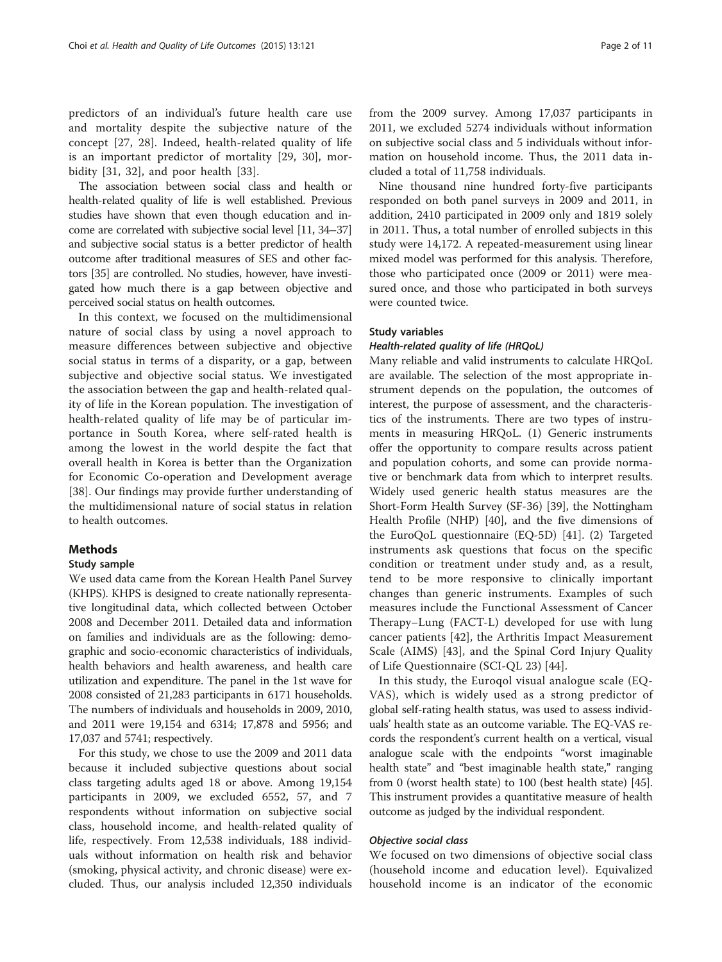predictors of an individual's future health care use and mortality despite the subjective nature of the concept [\[27](#page-10-0), [28](#page-10-0)]. Indeed, health-related quality of life is an important predictor of mortality [\[29](#page-10-0), [30](#page-10-0)], morbidity [\[31](#page-10-0), [32\]](#page-10-0), and poor health [\[33\]](#page-10-0).

The association between social class and health or health-related quality of life is well established. Previous studies have shown that even though education and income are correlated with subjective social level [\[11,](#page-9-0) [34](#page-10-0)–[37](#page-10-0)] and subjective social status is a better predictor of health outcome after traditional measures of SES and other factors [\[35\]](#page-10-0) are controlled. No studies, however, have investigated how much there is a gap between objective and perceived social status on health outcomes.

In this context, we focused on the multidimensional nature of social class by using a novel approach to measure differences between subjective and objective social status in terms of a disparity, or a gap, between subjective and objective social status. We investigated the association between the gap and health-related quality of life in the Korean population. The investigation of health-related quality of life may be of particular importance in South Korea, where self-rated health is among the lowest in the world despite the fact that overall health in Korea is better than the Organization for Economic Co-operation and Development average [[38\]](#page-10-0). Our findings may provide further understanding of the multidimensional nature of social status in relation to health outcomes.

# **Methods**

## Study sample

We used data came from the Korean Health Panel Survey (KHPS). KHPS is designed to create nationally representative longitudinal data, which collected between October 2008 and December 2011. Detailed data and information on families and individuals are as the following: demographic and socio-economic characteristics of individuals, health behaviors and health awareness, and health care utilization and expenditure. The panel in the 1st wave for 2008 consisted of 21,283 participants in 6171 households. The numbers of individuals and households in 2009, 2010, and 2011 were 19,154 and 6314; 17,878 and 5956; and 17,037 and 5741; respectively.

For this study, we chose to use the 2009 and 2011 data because it included subjective questions about social class targeting adults aged 18 or above. Among 19,154 participants in 2009, we excluded 6552, 57, and 7 respondents without information on subjective social class, household income, and health-related quality of life, respectively. From 12,538 individuals, 188 individuals without information on health risk and behavior (smoking, physical activity, and chronic disease) were excluded. Thus, our analysis included 12,350 individuals from the 2009 survey. Among 17,037 participants in 2011, we excluded 5274 individuals without information on subjective social class and 5 individuals without information on household income. Thus, the 2011 data included a total of 11,758 individuals.

Nine thousand nine hundred forty-five participants responded on both panel surveys in 2009 and 2011, in addition, 2410 participated in 2009 only and 1819 solely in 2011. Thus, a total number of enrolled subjects in this study were 14,172. A repeated-measurement using linear mixed model was performed for this analysis. Therefore, those who participated once (2009 or 2011) were measured once, and those who participated in both surveys were counted twice.

#### Study variables

# Health-related quality of life (HRQoL)

Many reliable and valid instruments to calculate HRQoL are available. The selection of the most appropriate instrument depends on the population, the outcomes of interest, the purpose of assessment, and the characteristics of the instruments. There are two types of instruments in measuring HRQoL. (1) Generic instruments offer the opportunity to compare results across patient and population cohorts, and some can provide normative or benchmark data from which to interpret results. Widely used generic health status measures are the Short-Form Health Survey (SF-36) [\[39](#page-10-0)], the Nottingham Health Profile (NHP) [\[40\]](#page-10-0), and the five dimensions of the EuroQoL questionnaire (EQ-5D) [\[41\]](#page-10-0). (2) Targeted instruments ask questions that focus on the specific condition or treatment under study and, as a result, tend to be more responsive to clinically important changes than generic instruments. Examples of such measures include the Functional Assessment of Cancer Therapy–Lung (FACT-L) developed for use with lung cancer patients [[42\]](#page-10-0), the Arthritis Impact Measurement Scale (AIMS) [\[43](#page-10-0)], and the Spinal Cord Injury Quality of Life Questionnaire (SCI-QL 23) [[44\]](#page-10-0).

In this study, the Euroqol visual analogue scale (EQ-VAS), which is widely used as a strong predictor of global self-rating health status, was used to assess individuals' health state as an outcome variable. The EQ-VAS records the respondent's current health on a vertical, visual analogue scale with the endpoints "worst imaginable health state" and "best imaginable health state," ranging from 0 (worst health state) to 100 (best health state) [[45](#page-10-0)]. This instrument provides a quantitative measure of health outcome as judged by the individual respondent.

## Objective social class

We focused on two dimensions of objective social class (household income and education level). Equivalized household income is an indicator of the economic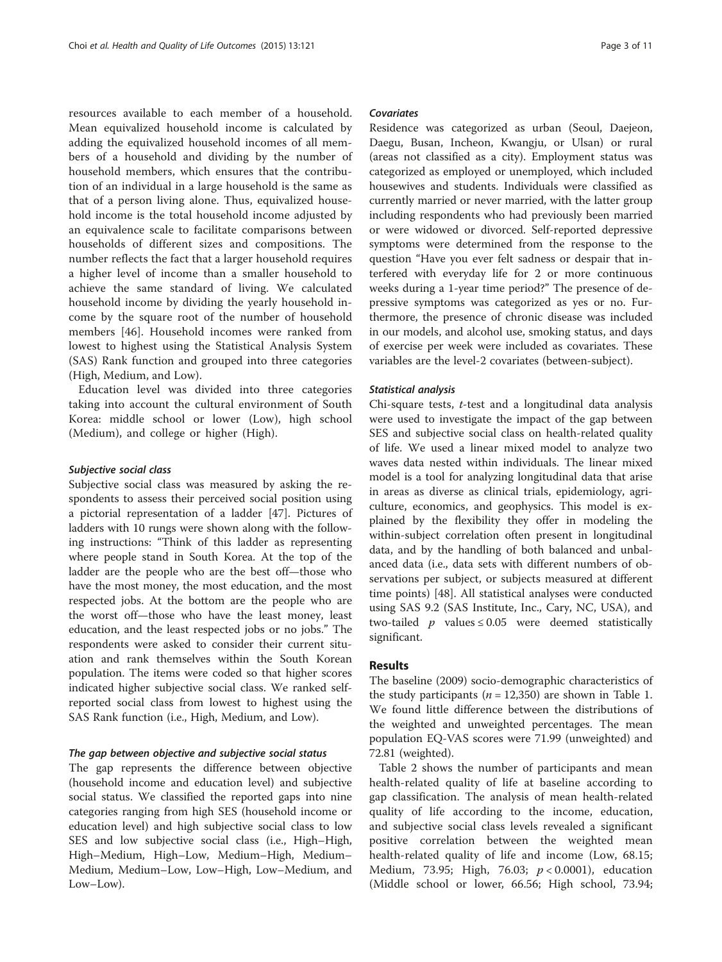resources available to each member of a household. Mean equivalized household income is calculated by adding the equivalized household incomes of all members of a household and dividing by the number of household members, which ensures that the contribution of an individual in a large household is the same as that of a person living alone. Thus, equivalized household income is the total household income adjusted by an equivalence scale to facilitate comparisons between households of different sizes and compositions. The number reflects the fact that a larger household requires a higher level of income than a smaller household to achieve the same standard of living. We calculated household income by dividing the yearly household income by the square root of the number of household members [\[46](#page-10-0)]. Household incomes were ranked from lowest to highest using the Statistical Analysis System (SAS) Rank function and grouped into three categories (High, Medium, and Low).

Education level was divided into three categories taking into account the cultural environment of South Korea: middle school or lower (Low), high school (Medium), and college or higher (High).

## Subjective social class

Subjective social class was measured by asking the respondents to assess their perceived social position using a pictorial representation of a ladder [[47](#page-10-0)]. Pictures of ladders with 10 rungs were shown along with the following instructions: "Think of this ladder as representing where people stand in South Korea. At the top of the ladder are the people who are the best off—those who have the most money, the most education, and the most respected jobs. At the bottom are the people who are the worst off—those who have the least money, least education, and the least respected jobs or no jobs." The respondents were asked to consider their current situation and rank themselves within the South Korean population. The items were coded so that higher scores indicated higher subjective social class. We ranked selfreported social class from lowest to highest using the SAS Rank function (i.e., High, Medium, and Low).

## The gap between objective and subjective social status

The gap represents the difference between objective (household income and education level) and subjective social status. We classified the reported gaps into nine categories ranging from high SES (household income or education level) and high subjective social class to low SES and low subjective social class (i.e., High–High, High–Medium, High–Low, Medium–High, Medium– Medium, Medium–Low, Low–High, Low–Medium, and Low–Low).

## Covariates

Residence was categorized as urban (Seoul, Daejeon, Daegu, Busan, Incheon, Kwangju, or Ulsan) or rural (areas not classified as a city). Employment status was categorized as employed or unemployed, which included housewives and students. Individuals were classified as currently married or never married, with the latter group including respondents who had previously been married or were widowed or divorced. Self-reported depressive symptoms were determined from the response to the question "Have you ever felt sadness or despair that interfered with everyday life for 2 or more continuous weeks during a 1-year time period?" The presence of depressive symptoms was categorized as yes or no. Furthermore, the presence of chronic disease was included in our models, and alcohol use, smoking status, and days of exercise per week were included as covariates. These variables are the level-2 covariates (between-subject).

#### Statistical analysis

Chi-square tests, t-test and a longitudinal data analysis were used to investigate the impact of the gap between SES and subjective social class on health-related quality of life. We used a linear mixed model to analyze two waves data nested within individuals. The linear mixed model is a tool for analyzing longitudinal data that arise in areas as diverse as clinical trials, epidemiology, agriculture, economics, and geophysics. This model is explained by the flexibility they offer in modeling the within-subject correlation often present in longitudinal data, and by the handling of both balanced and unbalanced data (i.e., data sets with different numbers of observations per subject, or subjects measured at different time points) [\[48](#page-10-0)]. All statistical analyses were conducted using SAS 9.2 (SAS Institute, Inc., Cary, NC, USA), and two-tailed  $p$  values  $\leq 0.05$  were deemed statistically significant.

# Results

The baseline (2009) socio-demographic characteristics of the study participants ( $n = 12,350$  $n = 12,350$  $n = 12,350$ ) are shown in Table 1. We found little difference between the distributions of the weighted and unweighted percentages. The mean population EQ-VAS scores were 71.99 (unweighted) and 72.81 (weighted).

Table [2](#page-4-0) shows the number of participants and mean health-related quality of life at baseline according to gap classification. The analysis of mean health-related quality of life according to the income, education, and subjective social class levels revealed a significant positive correlation between the weighted mean health-related quality of life and income (Low, 68.15; Medium, 73.95; High, 76.03; p < 0.0001), education (Middle school or lower, 66.56; High school, 73.94;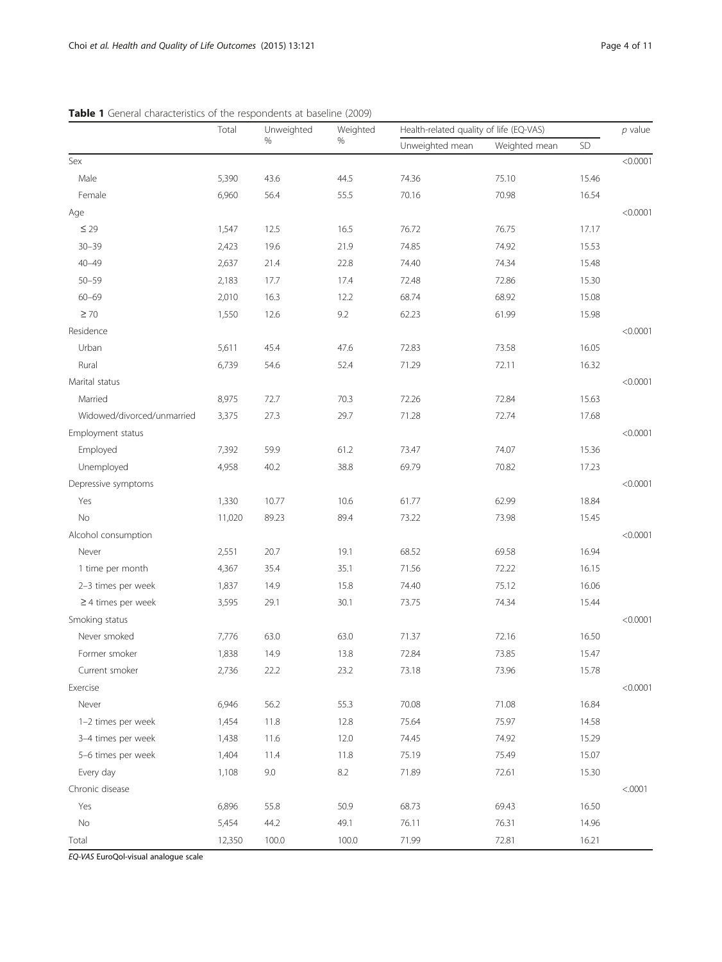|                            | Total  | Unweighted | Weighted | Health-related quality of life (EQ-VAS) |               |       | $p$ value |
|----------------------------|--------|------------|----------|-----------------------------------------|---------------|-------|-----------|
|                            |        | %          | $\%$     | Unweighted mean                         | Weighted mean | SD    |           |
| Sex                        |        |            |          |                                         |               |       | < 0.0001  |
| Male                       | 5,390  | 43.6       | 44.5     | 74.36                                   | 75.10         | 15.46 |           |
| Female                     | 6,960  | 56.4       | 55.5     | 70.16                                   | 70.98         | 16.54 |           |
| Age                        |        |            |          |                                         |               |       | < 0.0001  |
| $\leq$ 29                  | 1,547  | 12.5       | 16.5     | 76.72                                   | 76.75         | 17.17 |           |
| $30 - 39$                  | 2,423  | 19.6       | 21.9     | 74.85                                   | 74.92         | 15.53 |           |
| $40 - 49$                  | 2,637  | 21.4       | 22.8     | 74.40                                   | 74.34         | 15.48 |           |
| $50 - 59$                  | 2,183  | 17.7       | 17.4     | 72.48                                   | 72.86         | 15.30 |           |
| $60 - 69$                  | 2,010  | 16.3       | 12.2     | 68.74                                   | 68.92         | 15.08 |           |
| $\geq 70$                  | 1,550  | 12.6       | 9.2      | 62.23                                   | 61.99         | 15.98 |           |
| Residence                  |        |            |          |                                         |               |       | < 0.0001  |
| Urban                      | 5,611  | 45.4       | 47.6     | 72.83                                   | 73.58         | 16.05 |           |
| Rural                      | 6,739  | 54.6       | 52.4     | 71.29                                   | 72.11         | 16.32 |           |
| Marital status             |        |            |          |                                         |               |       | < 0.0001  |
| Married                    | 8,975  | 72.7       | 70.3     | 72.26                                   | 72.84         | 15.63 |           |
| Widowed/divorced/unmarried | 3,375  | 27.3       | 29.7     | 71.28                                   | 72.74         | 17.68 |           |
| Employment status          |        |            |          |                                         |               |       | < 0.0001  |
| Employed                   | 7,392  | 59.9       | 61.2     | 73.47                                   | 74.07         | 15.36 |           |
| Unemployed                 | 4,958  | 40.2       | 38.8     | 69.79                                   | 70.82         | 17.23 |           |
| Depressive symptoms        |        |            |          |                                         |               |       | < 0.0001  |
| Yes                        | 1,330  | 10.77      | 10.6     | 61.77                                   | 62.99         | 18.84 |           |
| No                         | 11,020 | 89.23      | 89.4     | 73.22                                   | 73.98         | 15.45 |           |
| Alcohol consumption        |        |            |          |                                         |               |       | < 0.0001  |
| Never                      | 2,551  | 20.7       | 19.1     | 68.52                                   | 69.58         | 16.94 |           |
| 1 time per month           | 4,367  | 35.4       | 35.1     | 71.56                                   | 72.22         | 16.15 |           |
| 2-3 times per week         | 1,837  | 14.9       | 15.8     | 74.40                                   | 75.12         | 16.06 |           |
| $\geq$ 4 times per week    | 3,595  | 29.1       | 30.1     | 73.75                                   | 74.34         | 15.44 |           |
| Smoking status             |        |            |          |                                         |               |       | < 0.0001  |
| Never smoked               | 7,776  | 63.0       | 63.0     | 71.37                                   | 72.16         | 16.50 |           |
| Former smoker              | 1,838  | 14.9       | 13.8     | 72.84                                   | 73.85         | 15.47 |           |
| Current smoker             | 2,736  | 22.2       | 23.2     | 73.18                                   | 73.96         | 15.78 |           |
| Exercise                   |        |            |          |                                         |               |       | < 0.0001  |
| Never                      | 6,946  | 56.2       | 55.3     | 70.08                                   | 71.08         | 16.84 |           |
| 1-2 times per week         | 1,454  | 11.8       | 12.8     | 75.64                                   | 75.97         | 14.58 |           |
| 3-4 times per week         | 1,438  | 11.6       | 12.0     | 74.45                                   | 74.92         | 15.29 |           |
| 5-6 times per week         | 1,404  | 11.4       | 11.8     | 75.19                                   | 75.49         | 15.07 |           |
| Every day                  | 1,108  | 9.0        | $8.2\,$  | 71.89                                   | 72.61         | 15.30 |           |
| Chronic disease            |        |            |          |                                         |               |       | < .0001   |
| Yes                        | 6,896  | 55.8       | 50.9     | 68.73                                   | 69.43         | 16.50 |           |
| No                         | 5,454  | 44.2       | 49.1     | 76.11                                   | 76.31         | 14.96 |           |
| Total                      | 12,350 | 100.0      | 100.0    | 71.99                                   | 72.81         | 16.21 |           |

<span id="page-3-0"></span>

EQ-VAS EuroQol-visual analogue scale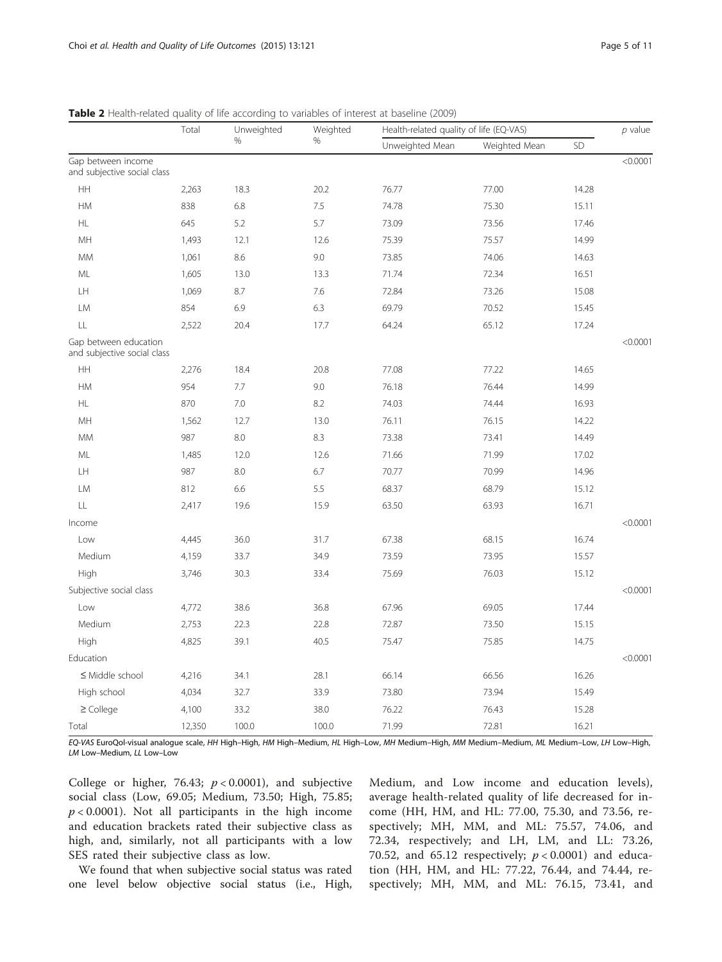|                                                      | Total  | Unweighted | Weighted | Health-related quality of life (EQ-VAS) | $p$ value     |       |          |
|------------------------------------------------------|--------|------------|----------|-----------------------------------------|---------------|-------|----------|
|                                                      |        | $\%$       | $\%$     | Unweighted Mean                         | Weighted Mean | SD    |          |
| Gap between income<br>and subjective social class    |        |            |          |                                         |               |       | < 0.0001 |
| HH                                                   | 2,263  | 18.3       | 20.2     | 76.77                                   | 77.00         | 14.28 |          |
| HM                                                   | 838    | 6.8        | 7.5      | 74.78                                   | 75.30         | 15.11 |          |
| <b>HL</b>                                            | 645    | 5.2        | 5.7      | 73.09                                   | 73.56         | 17.46 |          |
| MH                                                   | 1,493  | 12.1       | 12.6     | 75.39                                   | 75.57         | 14.99 |          |
| MM                                                   | 1,061  | 8.6        | 9.0      | 73.85                                   | 74.06         | 14.63 |          |
| ML                                                   | 1,605  | 13.0       | 13.3     | 71.74                                   | 72.34         | 16.51 |          |
| LH                                                   | 1,069  | 8.7        | 7.6      | 72.84                                   | 73.26         | 15.08 |          |
| LM                                                   | 854    | 6.9        | 6.3      | 69.79                                   | 70.52         | 15.45 |          |
| LL                                                   | 2,522  | 20.4       | 17.7     | 64.24                                   | 65.12         | 17.24 |          |
| Gap between education<br>and subjective social class |        |            |          |                                         |               |       | < 0.0001 |
| HH                                                   | 2,276  | 18.4       | 20.8     | 77.08                                   | 77.22         | 14.65 |          |
| HM                                                   | 954    | 7.7        | 9.0      | 76.18                                   | 76.44         | 14.99 |          |
| <b>HL</b>                                            | 870    | 7.0        | 8.2      | 74.03                                   | 74.44         | 16.93 |          |
| MH                                                   | 1,562  | 12.7       | 13.0     | 76.11                                   | 76.15         | 14.22 |          |
| MM                                                   | 987    | 8.0        | 8.3      | 73.38                                   | 73.41         | 14.49 |          |
| ML                                                   | 1,485  | 12.0       | 12.6     | 71.66                                   | 71.99         | 17.02 |          |
| LH                                                   | 987    | 8.0        | 6.7      | 70.77                                   | 70.99         | 14.96 |          |
| LM                                                   | 812    | 6.6        | 5.5      | 68.37                                   | 68.79         | 15.12 |          |
| LL                                                   | 2,417  | 19.6       | 15.9     | 63.50                                   | 63.93         | 16.71 |          |
| Income                                               |        |            |          |                                         |               |       | < 0.0001 |
| Low                                                  | 4,445  | 36.0       | 31.7     | 67.38                                   | 68.15         | 16.74 |          |
| Medium                                               | 4,159  | 33.7       | 34.9     | 73.59                                   | 73.95         | 15.57 |          |
| High                                                 | 3,746  | 30.3       | 33.4     | 75.69                                   | 76.03         | 15.12 |          |
| Subjective social class                              |        |            |          |                                         |               |       | < 0.0001 |
| Low                                                  | 4,772  | 38.6       | 36.8     | 67.96                                   | 69.05         | 17.44 |          |
| Medium                                               | 2,753  | 22.3       | 22.8     | 72.87                                   | 73.50         | 15.15 |          |
| High                                                 | 4,825  | 39.1       | 40.5     | 75.47                                   | 75.85         | 14.75 |          |
| Education                                            |        |            |          |                                         |               |       | < 0.0001 |
| $\leq$ Middle school                                 | 4,216  | 34.1       | 28.1     | 66.14                                   | 66.56         | 16.26 |          |
| High school                                          | 4,034  | 32.7       | 33.9     | 73.80                                   | 73.94         | 15.49 |          |
| $\geq$ College                                       | 4,100  | 33.2       | 38.0     | 76.22                                   | 76.43         | 15.28 |          |
| Total                                                | 12,350 | 100.0      | 100.0    | 71.99                                   | 72.81         | 16.21 |          |

<span id="page-4-0"></span>Table 2 Health-related quality of life according to variables of interest at baseline (2009)

EQ-VAS EuroQol-visual analogue scale, HH High–High, HM High–Medium, HL High–Low, MH Medium–High, MM Medium–Medium, ML Medium–Low, LH Low–High, LM Low–Medium, LL Low–Low

College or higher, 76.43;  $p < 0.0001$ ), and subjective social class (Low, 69.05; Medium, 73.50; High, 75.85;  $p < 0.0001$ ). Not all participants in the high income and education brackets rated their subjective class as high, and, similarly, not all participants with a low SES rated their subjective class as low.

We found that when subjective social status was rated one level below objective social status (i.e., High,

Medium, and Low income and education levels), average health-related quality of life decreased for income (HH, HM, and HL: 77.00, 75.30, and 73.56, respectively; MH, MM, and ML: 75.57, 74.06, and 72.34, respectively; and LH, LM, and LL: 73.26, 70.52, and 65.12 respectively;  $p < 0.0001$ ) and education (HH, HM, and HL: 77.22, 76.44, and 74.44, respectively; MH, MM, and ML: 76.15, 73.41, and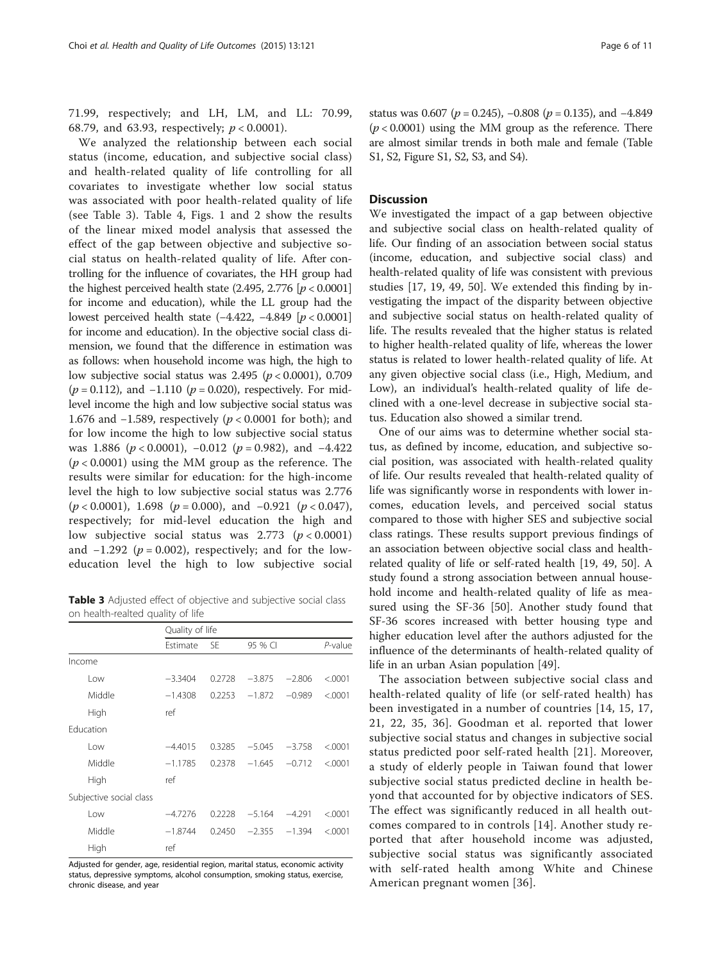71.99, respectively; and LH, LM, and LL: 70.99, 68.79, and 63.93, respectively;  $p < 0.0001$ ).

We analyzed the relationship between each social status (income, education, and subjective social class) and health-related quality of life controlling for all covariates to investigate whether low social status was associated with poor health-related quality of life (see Table 3). Table [4,](#page-6-0) Figs. [1](#page-8-0) and [2](#page-8-0) show the results of the linear mixed model analysis that assessed the effect of the gap between objective and subjective social status on health-related quality of life. After controlling for the influence of covariates, the HH group had the highest perceived health state  $(2.495, 2.776$  [ $p < 0.0001$ ] for income and education), while the LL group had the lowest perceived health state  $(-4.422, -4.849$  [ $p < 0.0001$ ] for income and education). In the objective social class dimension, we found that the difference in estimation was as follows: when household income was high, the high to low subjective social status was  $2.495$  ( $p < 0.0001$ ), 0.709  $(p = 0.112)$ , and  $-1.110$   $(p = 0.020)$ , respectively. For midlevel income the high and low subjective social status was 1.676 and −1.589, respectively ( $p$  < 0.0001 for both); and for low income the high to low subjective social status was 1.886 ( $p < 0.0001$ ), -0.012 ( $p = 0.982$ ), and -4.422  $(p < 0.0001)$  using the MM group as the reference. The results were similar for education: for the high-income level the high to low subjective social status was 2.776  $(p < 0.0001)$ , 1.698 ( $p = 0.000$ ), and  $-0.921$  ( $p < 0.047$ ), respectively; for mid-level education the high and low subjective social status was  $2.773$  ( $p < 0.0001$ ) and  $-1.292$  ( $p = 0.002$ ), respectively; and for the loweducation level the high to low subjective social

Table 3 Adjusted effect of objective and subjective social class on health-realted quality of life

|                         | Quality of life |           |          |          |          |  |  |
|-------------------------|-----------------|-----------|----------|----------|----------|--|--|
|                         | Estimate        | <b>SE</b> | 95 % CI  |          | P-value  |  |  |
| Income                  |                 |           |          |          |          |  |  |
| Low                     | $-3.3404$       | 0.2728    | $-3.875$ | $-2.806$ | < 0.0001 |  |  |
| Middle                  | $-1.4308$       | 0.2253    | $-1.872$ | $-0.989$ | < .0001  |  |  |
| High                    | ref             |           |          |          |          |  |  |
| Fducation               |                 |           |          |          |          |  |  |
| l ow                    | $-4.4015$       | 0.3285    | $-5.045$ | $-3.758$ | < 0.001  |  |  |
| Middle                  | $-1.1785$       | 0.2378    | $-1.645$ | $-0.712$ | < 0.001  |  |  |
| High                    | ref             |           |          |          |          |  |  |
| Subjective social class |                 |           |          |          |          |  |  |
| l ow                    | $-4.7276$       | 0.2228    | $-5.164$ | $-4.291$ | < 0.001  |  |  |
| Middle                  | $-1.8744$       | 0.2450    | $-2.355$ | $-1.394$ | < .0001  |  |  |
| High                    | ref             |           |          |          |          |  |  |

Adjusted for gender, age, residential region, marital status, economic activity status, depressive symptoms, alcohol consumption, smoking status, exercise, chronic disease, and year

status was 0.607 ( $p = 0.245$ ),  $-0.808$  ( $p = 0.135$ ), and  $-4.849$  $(p < 0.0001)$  using the MM group as the reference. There are almost similar trends in both male and female (Table S1, S2, Figure S1, S2, S3, and S4).

# **Discussion**

We investigated the impact of a gap between objective and subjective social class on health-related quality of life. Our finding of an association between social status (income, education, and subjective social class) and health-related quality of life was consistent with previous studies [[17](#page-9-0), [19,](#page-9-0) [49, 50\]](#page-10-0). We extended this finding by investigating the impact of the disparity between objective and subjective social status on health-related quality of life. The results revealed that the higher status is related to higher health-related quality of life, whereas the lower status is related to lower health-related quality of life. At any given objective social class (i.e., High, Medium, and Low), an individual's health-related quality of life declined with a one-level decrease in subjective social status. Education also showed a similar trend.

One of our aims was to determine whether social status, as defined by income, education, and subjective social position, was associated with health-related quality of life. Our results revealed that health-related quality of life was significantly worse in respondents with lower incomes, education levels, and perceived social status compared to those with higher SES and subjective social class ratings. These results support previous findings of an association between objective social class and healthrelated quality of life or self-rated health [\[19](#page-9-0), [49, 50\]](#page-10-0). A study found a strong association between annual household income and health-related quality of life as measured using the SF-36 [[50\]](#page-10-0). Another study found that SF-36 scores increased with better housing type and higher education level after the authors adjusted for the influence of the determinants of health-related quality of life in an urban Asian population [[49\]](#page-10-0).

The association between subjective social class and health-related quality of life (or self-rated health) has been investigated in a number of countries [[14](#page-9-0), [15, 17](#page-9-0), [21, 22](#page-10-0), [35, 36](#page-10-0)]. Goodman et al. reported that lower subjective social status and changes in subjective social status predicted poor self-rated health [\[21](#page-10-0)]. Moreover, a study of elderly people in Taiwan found that lower subjective social status predicted decline in health beyond that accounted for by objective indicators of SES. The effect was significantly reduced in all health outcomes compared to in controls [[14\]](#page-9-0). Another study reported that after household income was adjusted, subjective social status was significantly associated with self-rated health among White and Chinese American pregnant women [\[36\]](#page-10-0).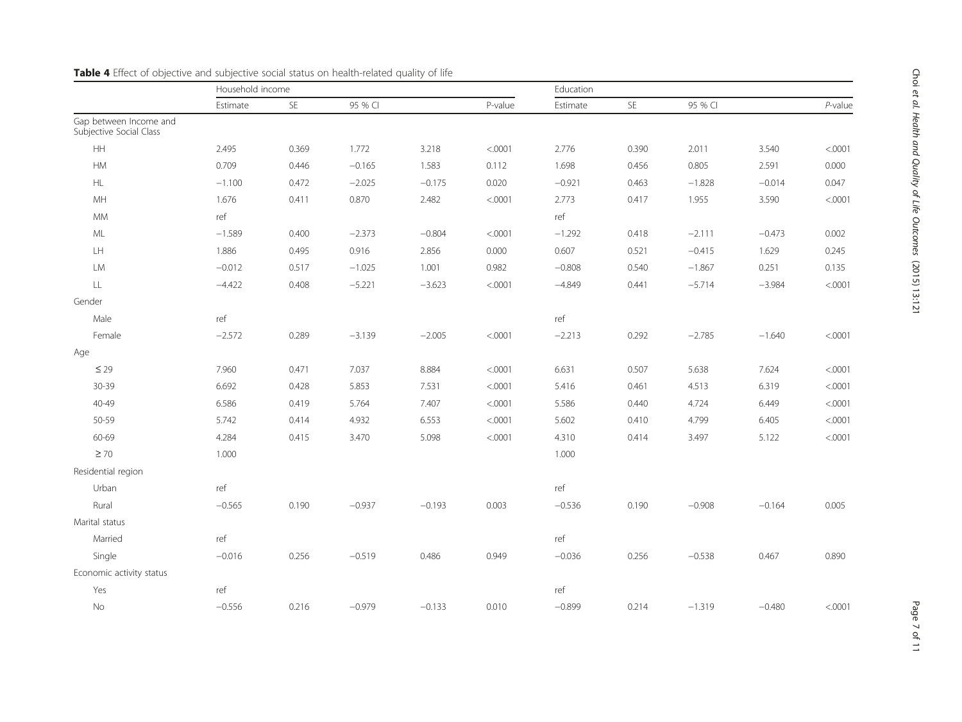<span id="page-6-0"></span>

|                                                   | Household income |       |          |          | Education |          |               |          |          |            |
|---------------------------------------------------|------------------|-------|----------|----------|-----------|----------|---------------|----------|----------|------------|
|                                                   | Estimate         | SE    | 95 % CI  |          | P-value   | Estimate | $\mathsf{SE}$ | 95 % CI  |          | $P$ -value |
| Gap between Income and<br>Subjective Social Class |                  |       |          |          |           |          |               |          |          |            |
| <b>HH</b>                                         | 2.495            | 0.369 | 1.772    | 3.218    | < .0001   | 2.776    | 0.390         | 2.011    | 3.540    | < .0001    |
| HM                                                | 0.709            | 0.446 | $-0.165$ | 1.583    | 0.112     | 1.698    | 0.456         | 0.805    | 2.591    | 0.000      |
| $\mathsf{HL}$                                     | $-1.100$         | 0.472 | $-2.025$ | $-0.175$ | 0.020     | $-0.921$ | 0.463         | $-1.828$ | $-0.014$ | 0.047      |
| $\mathsf{MH}$                                     | 1.676            | 0.411 | 0.870    | 2.482    | < .0001   | 2.773    | 0.417         | 1.955    | 3.590    | < .0001    |
| <b>MM</b>                                         | ref              |       |          |          |           | ref      |               |          |          |            |
| $ML$                                              | $-1.589$         | 0.400 | $-2.373$ | $-0.804$ | < .0001   | $-1.292$ | 0.418         | $-2.111$ | $-0.473$ | 0.002      |
| $\mathsf{L}\mathsf{H}$                            | 1.886            | 0.495 | 0.916    | 2.856    | 0.000     | 0.607    | 0.521         | $-0.415$ | 1.629    | 0.245      |
| <b>LM</b>                                         | $-0.012$         | 0.517 | $-1.025$ | 1.001    | 0.982     | $-0.808$ | 0.540         | $-1.867$ | 0.251    | 0.135      |
| $\mathsf{LL}$                                     | $-4.422$         | 0.408 | $-5.221$ | $-3.623$ | < .0001   | $-4.849$ | 0.441         | $-5.714$ | $-3.984$ | < .0001    |
| Gender                                            |                  |       |          |          |           |          |               |          |          |            |
| Male                                              | ref              |       |          |          |           | ref      |               |          |          |            |
| Female                                            | $-2.572$         | 0.289 | $-3.139$ | $-2.005$ | < .0001   | $-2.213$ | 0.292         | $-2.785$ | $-1.640$ | < .0001    |
| Age                                               |                  |       |          |          |           |          |               |          |          |            |
| $\leq$ 29                                         | 7.960            | 0.471 | 7.037    | 8.884    | < .0001   | 6.631    | 0.507         | 5.638    | 7.624    | < .0001    |
| 30-39                                             | 6.692            | 0.428 | 5.853    | 7.531    | < .0001   | 5.416    | 0.461         | 4.513    | 6.319    | < .0001    |
| 40-49                                             | 6.586            | 0.419 | 5.764    | 7.407    | < .0001   | 5.586    | 0.440         | 4.724    | 6.449    | < .0001    |
| 50-59                                             | 5.742            | 0.414 | 4.932    | 6.553    | < .0001   | 5.602    | 0.410         | 4.799    | 6.405    | < .0001    |
| 60-69                                             | 4.284            | 0.415 | 3.470    | 5.098    | < .0001   | 4.310    | 0.414         | 3.497    | 5.122    | < .0001    |
| $\geq 70$                                         | 1.000            |       |          |          |           | 1.000    |               |          |          |            |
| Residential region                                |                  |       |          |          |           |          |               |          |          |            |
| Urban                                             | ref              |       |          |          |           | ref      |               |          |          |            |
| Rural                                             | $-0.565$         | 0.190 | $-0.937$ | $-0.193$ | 0.003     | $-0.536$ | 0.190         | $-0.908$ | $-0.164$ | 0.005      |
| Marital status                                    |                  |       |          |          |           |          |               |          |          |            |
| Married                                           | ref              |       |          |          |           | ref      |               |          |          |            |
| Single                                            | $-0.016$         | 0.256 | $-0.519$ | 0.486    | 0.949     | $-0.036$ | 0.256         | $-0.538$ | 0.467    | 0.890      |
| Economic activity status                          |                  |       |          |          |           |          |               |          |          |            |
| Yes                                               | ref              |       |          |          |           | ref      |               |          |          |            |
| No                                                | $-0.556$         | 0.216 | $-0.979$ | $-0.133$ | 0.010     | $-0.899$ | 0.214         | $-1.319$ | $-0.480$ | < .0001    |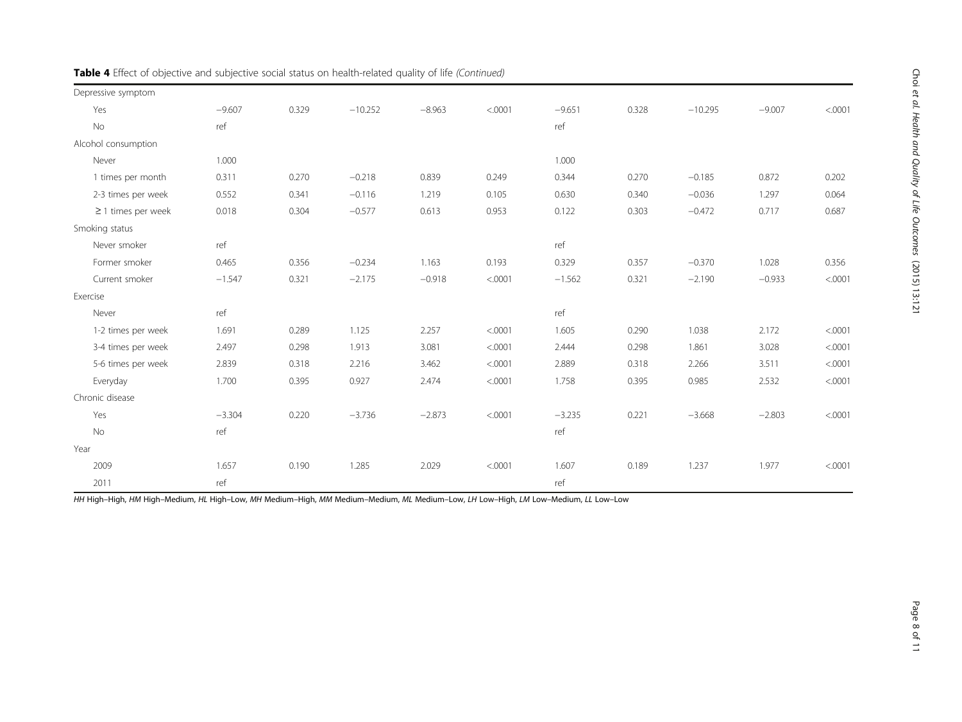| Depressive symptom      |          |       |           |          |         |          |       |           |          |         |
|-------------------------|----------|-------|-----------|----------|---------|----------|-------|-----------|----------|---------|
| Yes                     | $-9.607$ | 0.329 | $-10.252$ | $-8.963$ | < .0001 | $-9.651$ | 0.328 | $-10.295$ | $-9.007$ | < .0001 |
| No                      | ref      |       |           |          |         | ref      |       |           |          |         |
| Alcohol consumption     |          |       |           |          |         |          |       |           |          |         |
| Never                   | 1.000    |       |           |          |         | 1.000    |       |           |          |         |
| 1 times per month       | 0.311    | 0.270 | $-0.218$  | 0.839    | 0.249   | 0.344    | 0.270 | $-0.185$  | 0.872    | 0.202   |
| 2-3 times per week      | 0.552    | 0.341 | $-0.116$  | 1.219    | 0.105   | 0.630    | 0.340 | $-0.036$  | 1.297    | 0.064   |
| $\geq$ 1 times per week | 0.018    | 0.304 | $-0.577$  | 0.613    | 0.953   | 0.122    | 0.303 | $-0.472$  | 0.717    | 0.687   |
| Smoking status          |          |       |           |          |         |          |       |           |          |         |
| Never smoker            | ref      |       |           |          |         | ref      |       |           |          |         |
| Former smoker           | 0.465    | 0.356 | $-0.234$  | 1.163    | 0.193   | 0.329    | 0.357 | $-0.370$  | 1.028    | 0.356   |
| Current smoker          | $-1.547$ | 0.321 | $-2.175$  | $-0.918$ | < .0001 | $-1.562$ | 0.321 | $-2.190$  | $-0.933$ | < .0001 |
| Exercise                |          |       |           |          |         |          |       |           |          |         |
| Never                   | ref      |       |           |          |         | ref      |       |           |          |         |
| 1-2 times per week      | 1.691    | 0.289 | 1.125     | 2.257    | < .0001 | 1.605    | 0.290 | 1.038     | 2.172    | < .0001 |
| 3-4 times per week      | 2.497    | 0.298 | 1.913     | 3.081    | < .0001 | 2.444    | 0.298 | 1.861     | 3.028    | < .0001 |
| 5-6 times per week      | 2.839    | 0.318 | 2.216     | 3.462    | < .0001 | 2.889    | 0.318 | 2.266     | 3.511    | < .0001 |
| Everyday                | 1.700    | 0.395 | 0.927     | 2.474    | < .0001 | 1.758    | 0.395 | 0.985     | 2.532    | < .0001 |
| Chronic disease         |          |       |           |          |         |          |       |           |          |         |
| Yes                     | $-3.304$ | 0.220 | $-3.736$  | $-2.873$ | < .0001 | $-3.235$ | 0.221 | $-3.668$  | $-2.803$ | < .0001 |
| $\rm No$                | ref      |       |           |          |         | ref      |       |           |          |         |
| Year                    |          |       |           |          |         |          |       |           |          |         |
| 2009                    | 1.657    | 0.190 | 1.285     | 2.029    | < .0001 | 1.607    | 0.189 | 1.237     | 1.977    | < .0001 |
| 2011                    | ref      |       |           |          |         | ref      |       |           |          |         |

| Table 4 Effect of objective and subjective social status on health-related quality of life (Continued) |  |
|--------------------------------------------------------------------------------------------------------|--|
|--------------------------------------------------------------------------------------------------------|--|

HH High–High, HM High–Medium, HL High–Low, MH Medium–High, MM Medium–Medium, ML Medium–Low, LH Low–High, LM Low–Medium, LL Low–Low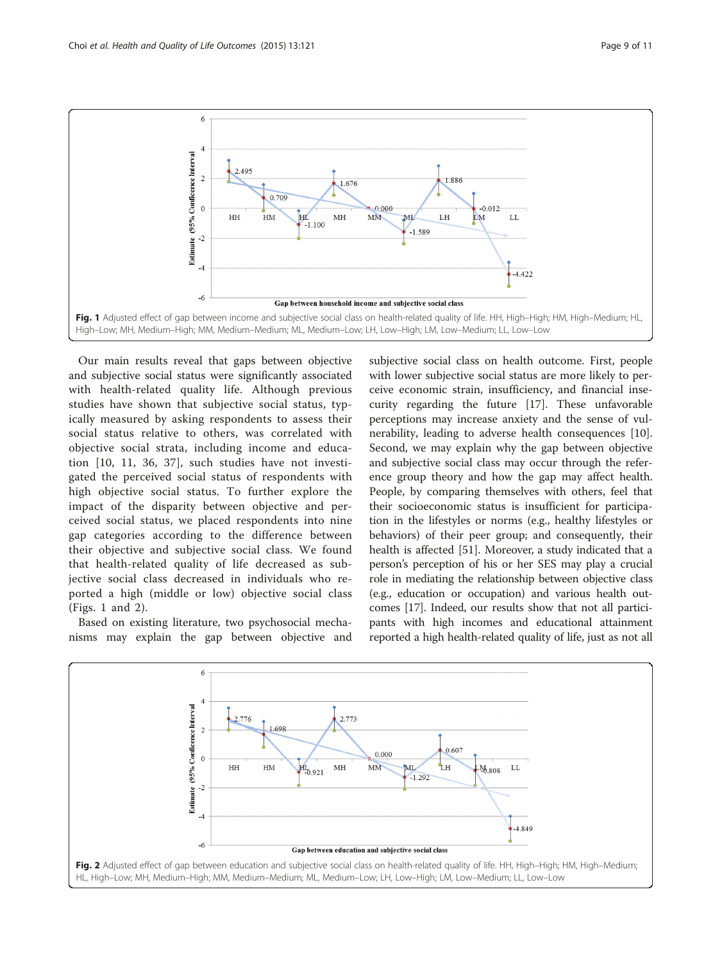<span id="page-8-0"></span>

Our main results reveal that gaps between objective and subjective social status were significantly associated with health-related quality life. Although previous studies have shown that subjective social status, typically measured by asking respondents to assess their social status relative to others, was correlated with objective social strata, including income and education [[10](#page-9-0), [11](#page-9-0), [36, 37](#page-10-0)], such studies have not investigated the perceived social status of respondents with high objective social status. To further explore the impact of the disparity between objective and perceived social status, we placed respondents into nine gap categories according to the difference between their objective and subjective social class. We found that health-related quality of life decreased as subjective social class decreased in individuals who reported a high (middle or low) objective social class (Figs. 1 and 2).

Based on existing literature, two psychosocial mechanisms may explain the gap between objective and subjective social class on health outcome. First, people with lower subjective social status are more likely to perceive economic strain, insufficiency, and financial insecurity regarding the future [[17\]](#page-9-0). These unfavorable perceptions may increase anxiety and the sense of vulnerability, leading to adverse health consequences [\[10](#page-9-0)]. Second, we may explain why the gap between objective and subjective social class may occur through the reference group theory and how the gap may affect health. People, by comparing themselves with others, feel that their socioeconomic status is insufficient for participation in the lifestyles or norms (e.g., healthy lifestyles or behaviors) of their peer group; and consequently, their health is affected [\[51](#page-10-0)]. Moreover, a study indicated that a person's perception of his or her SES may play a crucial role in mediating the relationship between objective class (e.g., education or occupation) and various health outcomes [[17\]](#page-9-0). Indeed, our results show that not all participants with high incomes and educational attainment reported a high health-related quality of life, just as not all

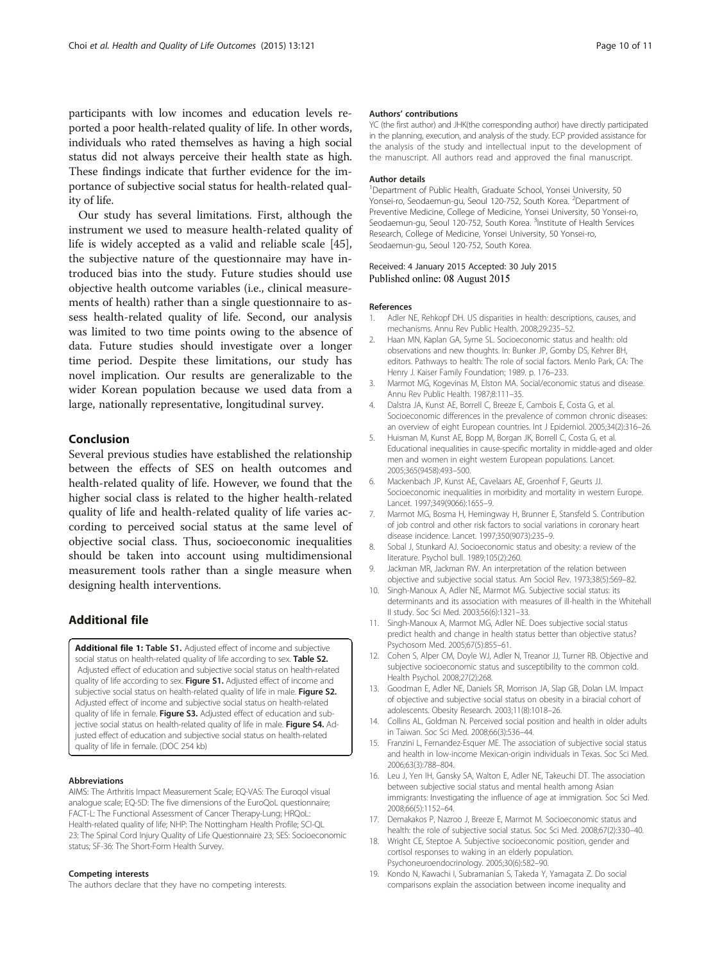<span id="page-9-0"></span>participants with low incomes and education levels reported a poor health-related quality of life. In other words, individuals who rated themselves as having a high social status did not always perceive their health state as high. These findings indicate that further evidence for the importance of subjective social status for health-related quality of life.

Our study has several limitations. First, although the instrument we used to measure health-related quality of life is widely accepted as a valid and reliable scale [\[45](#page-10-0)], the subjective nature of the questionnaire may have introduced bias into the study. Future studies should use objective health outcome variables (i.e., clinical measurements of health) rather than a single questionnaire to assess health-related quality of life. Second, our analysis was limited to two time points owing to the absence of data. Future studies should investigate over a longer time period. Despite these limitations, our study has novel implication. Our results are generalizable to the wider Korean population because we used data from a large, nationally representative, longitudinal survey.

## Conclusion

Several previous studies have established the relationship between the effects of SES on health outcomes and health-related quality of life. However, we found that the higher social class is related to the higher health-related quality of life and health-related quality of life varies according to perceived social status at the same level of objective social class. Thus, socioeconomic inequalities should be taken into account using multidimensional measurement tools rather than a single measure when designing health interventions.

# Additional file

[Additional file 1:](http://www.hqlo.com/content/supplementary/s12955-015-0319-0-s1.doc) Table S1. Adjusted effect of income and subjective social status on health-related quality of life according to sex. Table S2. Adjusted effect of education and subjective social status on health-related quality of life according to sex. Figure S1. Adjusted effect of income and subjective social status on health-related quality of life in male. Figure S2. Adjusted effect of income and subjective social status on health-related quality of life in female. Figure S3. Adjusted effect of education and subjective social status on health-related quality of life in male. Figure S4. Adjusted effect of education and subjective social status on health-related quality of life in female. (DOC 254 kb)

#### Abbreviations

AIMS: The Arthritis Impact Measurement Scale; EQ-VAS: The Euroqol visual analogue scale; EQ-5D: The five dimensions of the EuroQoL questionnaire; FACT-L: The Functional Assessment of Cancer Therapy-Lung; HRQoL: Health-related quality of life; NHP: The Nottingham Health Profile; SCI-QL 23: The Spinal Cord Injury Quality of Life Questionnaire 23; SES: Socioeconomic status; SF-36: The Short-Form Health Survey.

#### Competing interests

The authors declare that they have no competing interests.

#### Authors' contributions

YC (the first author) and JHK(the corresponding author) have directly participated in the planning, execution, and analysis of the study. ECP provided assistance for the analysis of the study and intellectual input to the development of the manuscript. All authors read and approved the final manuscript.

#### Author details

<sup>1</sup>Department of Public Health, Graduate School, Yonsei University, 50 Yonsei-ro, Seodaemun-gu, Seoul 120-752, South Korea. <sup>2</sup>Department of Preventive Medicine, College of Medicine, Yonsei University, 50 Yonsei-ro, Seodaemun-gu, Seoul 120-752, South Korea. <sup>3</sup>Institute of Health Services Research, College of Medicine, Yonsei University, 50 Yonsei-ro, Seodaemun-gu, Seoul 120-752, South Korea.

## Received: 4 January 2015 Accepted: 30 July 2015 Published online: 08 August 2015

#### References

- 1. Adler NE, Rehkopf DH. US disparities in health: descriptions, causes, and mechanisms. Annu Rev Public Health. 2008;29:235–52.
- 2. Haan MN, Kaplan GA, Syme SL. Socioeconomic status and health: old observations and new thoughts. In: Bunker JP, Gomby DS, Kehrer BH, editors. Pathways to health: The role of social factors. Menlo Park, CA: The Henry J. Kaiser Family Foundation; 1989. p. 176–233.
- 3. Marmot MG, Kogevinas M, Elston MA. Social/economic status and disease. Annu Rev Public Health. 1987;8:111–35.
- 4. Dalstra JA, Kunst AE, Borrell C, Breeze E, Cambois E, Costa G, et al. Socioeconomic differences in the prevalence of common chronic diseases: an overview of eight European countries. Int J Epidemiol. 2005;34(2):316–26.
- 5. Huisman M, Kunst AE, Bopp M, Borgan JK, Borrell C, Costa G, et al. Educational inequalities in cause-specific mortality in middle-aged and older men and women in eight western European populations. Lancet. 2005;365(9458):493–500.
- 6. Mackenbach JP, Kunst AE, Cavelaars AE, Groenhof F, Geurts JJ. Socioeconomic inequalities in morbidity and mortality in western Europe. Lancet. 1997;349(9066):1655–9.
- 7. Marmot MG, Bosma H, Hemingway H, Brunner E, Stansfeld S. Contribution of job control and other risk factors to social variations in coronary heart disease incidence. Lancet. 1997;350(9073):235–9.
- 8. Sobal J, Stunkard AJ. Socioeconomic status and obesity: a review of the literature. Psychol bull. 1989;105(2):260.
- 9. Jackman MR, Jackman RW. An interpretation of the relation between objective and subjective social status. Am Sociol Rev. 1973;38(5):569–82.
- 10. Singh-Manoux A, Adler NE, Marmot MG. Subjective social status: its determinants and its association with measures of ill-health in the Whitehall II study. Soc Sci Med. 2003;56(6):1321–33.
- 11. Singh-Manoux A, Marmot MG, Adler NE. Does subjective social status predict health and change in health status better than objective status? Psychosom Med. 2005;67(5):855–61.
- 12. Cohen S, Alper CM, Doyle WJ, Adler N, Treanor JJ, Turner RB. Objective and subjective socioeconomic status and susceptibility to the common cold. Health Psychol. 2008;27(2):268.
- 13. Goodman E, Adler NE, Daniels SR, Morrison JA, Slap GB, Dolan LM. Impact of objective and subjective social status on obesity in a biracial cohort of adolescents. Obesity Research. 2003;11(8):1018–26.
- 14. Collins AL, Goldman N. Perceived social position and health in older adults in Taiwan. Soc Sci Med. 2008;66(3):536–44.
- 15. Franzini L, Fernandez-Esquer ME. The association of subjective social status and health in low-income Mexican-origin individuals in Texas. Soc Sci Med. 2006;63(3):788–804.
- 16. Leu J, Yen IH, Gansky SA, Walton E, Adler NE, Takeuchi DT. The association between subjective social status and mental health among Asian immigrants: Investigating the influence of age at immigration. Soc Sci Med. 2008;66(5):1152–64.
- 17. Demakakos P, Nazroo J, Breeze E, Marmot M. Socioeconomic status and health: the role of subjective social status. Soc Sci Med. 2008;67(2):330–40.
- 18. Wright CE, Steptoe A. Subjective socioeconomic position, gender and cortisol responses to waking in an elderly population. Psychoneuroendocrinology. 2005;30(6):582–90.
- 19. Kondo N, Kawachi I, Subramanian S, Takeda Y, Yamagata Z. Do social comparisons explain the association between income inequality and